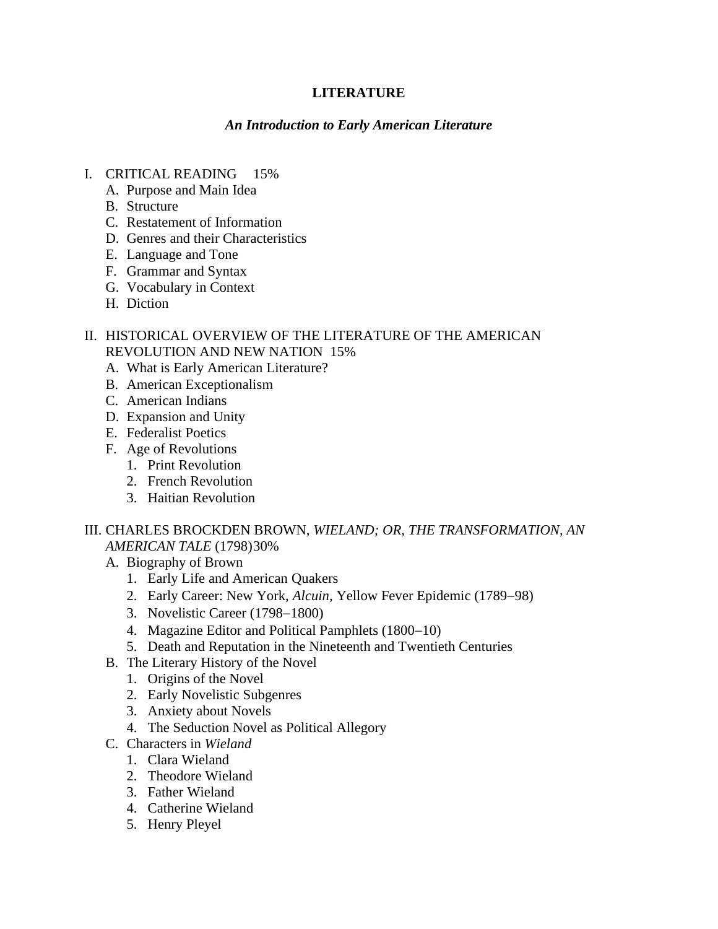## **LITERATURE**

### *An Introduction to Early American Literature*

- I. CRITICAL READING 15%
	- A. Purpose and Main Idea
	- B. Structure
	- C. Restatement of Information
	- D. Genres and their Characteristics
	- E. Language and Tone
	- F. Grammar and Syntax
	- G. Vocabulary in Context
	- H. Diction

### II. HISTORICAL OVERVIEW OF THE LITERATURE OF THE AMERICAN REVOLUTION AND NEW NATION15%

- A. What is Early American Literature?
- B. American Exceptionalism
- C. American Indians
- D. Expansion and Unity
- E. Federalist Poetics
- F. Age of Revolutions
	- 1. Print Revolution
	- 2. French Revolution
	- 3. Haitian Revolution

#### III. CHARLES BROCKDEN BROWN, *WIELAND; OR, THE TRANSFORMATION, AN AMERICAN TALE* (1798)30%

- A. Biography of Brown
	- 1. Early Life and American Quakers
	- 2. Early Career: New York, *Alcuin,* Yellow Fever Epidemic (1789−98)
	- 3. Novelistic Career (1798−1800)
	- 4. Magazine Editor and Political Pamphlets (1800−10)
	- 5. Death and Reputation in the Nineteenth and Twentieth Centuries
- B. The Literary History of the Novel
	- 1. Origins of the Novel
	- 2. Early Novelistic Subgenres
	- 3. Anxiety about Novels
	- 4. The Seduction Novel as Political Allegory
- C. Characters in *Wieland* 
	- 1. Clara Wieland
	- 2. Theodore Wieland
	- 3. Father Wieland
	- 4. Catherine Wieland
	- 5. Henry Pleyel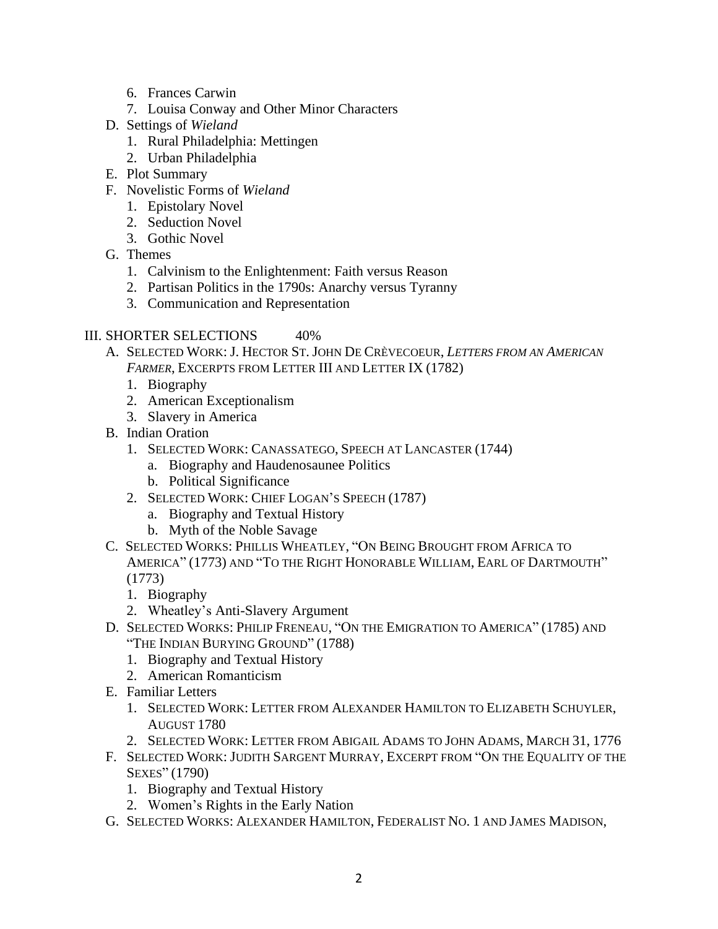- 6. Frances Carwin
- 7. Louisa Conway and Other Minor Characters
- D. Settings of *Wieland* 
	- 1. Rural Philadelphia: Mettingen
	- 2. Urban Philadelphia
- E. Plot Summary
- F. Novelistic Forms of *Wieland*
	- 1. Epistolary Novel
	- 2. Seduction Novel
	- 3. Gothic Novel
- G. Themes
	- 1. Calvinism to the Enlightenment: Faith versus Reason
	- 2. Partisan Politics in the 1790s: Anarchy versus Tyranny
	- 3. Communication and Representation

# III. SHORTER SELECTIONS 40%

- A. SELECTED WORK: J. HECTOR ST. JOHN DE CRÈVECOEUR, *LETTERS FROM AN AMERICAN FARMER*, EXCERPTS FROM LETTER III AND LETTER IX (1782)
	- 1. Biography
	- 2. American Exceptionalism
	- 3. Slavery in America
- B. Indian Oration
	- 1. SELECTED WORK: CANASSATEGO, SPEECH AT LANCASTER (1744)
		- a. Biography and Haudenosaunee Politics
		- b. Political Significance
	- 2. SELECTED WORK: CHIEF LOGAN'S SPEECH (1787)
		- a. Biography and Textual History
		- b. Myth of the Noble Savage
- C. SELECTED WORKS: PHILLIS WHEATLEY, "ON BEING BROUGHT FROM AFRICA TO AMERICA" (1773) AND "TO THE RIGHT HONORABLE WILLIAM, EARL OF DARTMOUTH" (1773)
	- 1. Biography
	- 2. Wheatley's Anti-Slavery Argument
- D. SELECTED WORKS: PHILIP FRENEAU, "ON THE EMIGRATION TO AMERICA" (1785) AND "THE INDIAN BURYING GROUND" (1788)
	- 1. Biography and Textual History
	- 2. American Romanticism
- E. Familiar Letters
	- 1. SELECTED WORK: LETTER FROM ALEXANDER HAMILTON TO ELIZABETH SCHUYLER, AUGUST 1780
	- 2. SELECTED WORK: LETTER FROM ABIGAIL ADAMS TO JOHN ADAMS, MARCH 31, 1776
- F. SELECTED WORK: JUDITH SARGENT MURRAY, EXCERPT FROM "ON THE EQUALITY OF THE SEXES" (1790)
	- 1. Biography and Textual History
	- 2. Women's Rights in the Early Nation
- G. SELECTED WORKS: ALEXANDER HAMILTON, FEDERALIST NO. 1 AND JAMES MADISON,